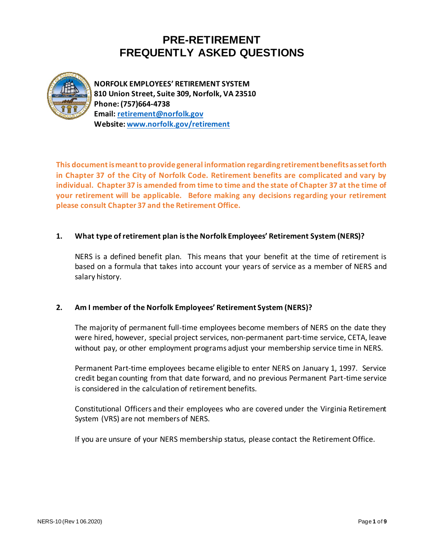

**NORFOLK EMPLOYEES' RETIREMENT SYSTEM 810 Union Street, Suite 309, Norfolk, VA 23510 Phone: (757)664-4738 Email: [retirement@norfolk.gov](mailto:retirement@norfolk.gov) Website[: www.norfolk.gov/retirement](http://www.norfolk.gov/retirement)**

**This document is meant to provide general information regarding retirement benefits as set forth in Chapter 37 of the City of Norfolk Code. Retirement benefits are complicated and vary by individual. Chapter 37 is amended from time to time and the state of Chapter 37 at the time of your retirement will be applicable. Before making any decisions regarding your retirement please consult Chapter 37 and the Retirement Office.**

## **1. What type of retirement plan is the Norfolk Employees' Retirement System (NERS)?**

NERS is a defined benefit plan. This means that your benefit at the time of retirement is based on a formula that takes into account your years of service as a member of NERS and salary history.

## **2. Am I member of the Norfolk Employees' Retirement System (NERS)?**

The majority of permanent full-time employees become members of NERS on the date they were hired, however, special project services, non-permanent part-time service, CETA, leave without pay, or other employment programs adjust your membership service time in NERS.

Permanent Part-time employees became eligible to enter NERS on January 1, 1997. Service credit began counting from that date forward, and no previous Permanent Part-time service is considered in the calculation of retirement benefits.

Constitutional Officers and their employees who are covered under the Virginia Retirement System (VRS) are not members of NERS.

If you are unsure of your NERS membership status, please contact the Retirement Office.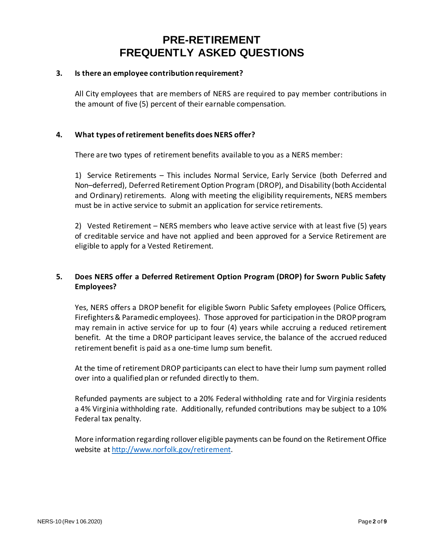#### **3. Is there an employee contribution requirement?**

All City employees that are members of NERS are required to pay member contributions in the amount of five (5) percent of their earnable compensation.

#### **4. What types of retirement benefits does NERS offer?**

There are two types of retirement benefits available to you as a NERS member:

1) Service Retirements – This includes Normal Service, Early Service (both Deferred and Non–deferred), Deferred Retirement Option Program (DROP), and Disability (both Accidental and Ordinary) retirements. Along with meeting the eligibility requirements, NERS members must be in active service to submit an application for service retirements.

2) Vested Retirement – NERS members who leave active service with at least five (5) years of creditable service and have not applied and been approved for a Service Retirement are eligible to apply for a Vested Retirement.

## **5. Does NERS offer a Deferred Retirement Option Program (DROP) for Sworn Public Safety Employees?**

Yes, NERS offers a DROP benefit for eligible Sworn Public Safety employees (Police Officers, Firefighters & Paramedic employees). Those approved for participation in the DROP program may remain in active service for up to four (4) years while accruing a reduced retirement benefit. At the time a DROP participant leaves service, the balance of the accrued reduced retirement benefit is paid as a one-time lump sum benefit.

At the time of retirement DROP participants can elect to have their lump sum payment rolled over into a qualified plan or refunded directly to them.

Refunded payments are subject to a 20% Federal withholding rate and for Virginia residents a 4% Virginia withholding rate. Additionally, refunded contributions may be subject to a 10% Federal tax penalty.

More information regarding rollover eligible payments can be found on the Retirement Office website a[t http://www.norfolk.gov/retirement.](http://www.norfolk.gov/retirement)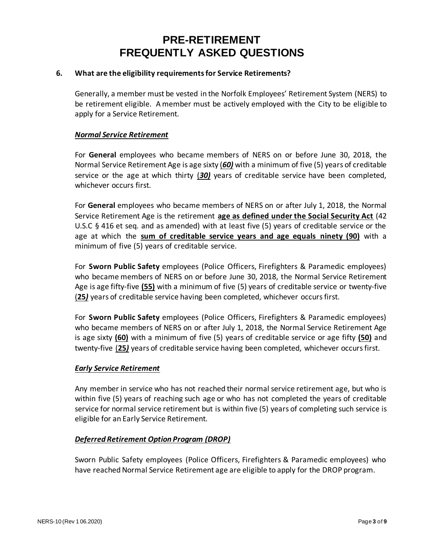#### **6. What are the eligibility requirements for Service Retirements?**

Generally, a member must be vested in the Norfolk Employees' Retirement System (NERS) to be retirement eligible. A member must be actively employed with the City to be eligible to apply for a Service Retirement.

#### *Normal Service Retirement*

For **General** employees who became members of NERS on or before June 30, 2018, the Normal Service Retirement Age is age sixty (*60)* with a minimum of five (5) years of creditable service or the age at which thirty (*30)* years of creditable service have been completed, whichever occurs first.

For **General** employees who became members of NERS on or after July 1, 2018, the Normal Service Retirement Age is the retirement **age as defined under the Social Security Act** (42 U.S.C § 416 et seq. and as amended) with at least five (5) years of creditable service or the age at which the **sum of creditable service years and age equals ninety (90)** with a minimum of five (5) years of creditable service.

For **Sworn Public Safety** employees (Police Officers, Firefighters & Paramedic employees) who became members of NERS on or before June 30, 2018, the Normal Service Retirement Age is age fifty-five **(55)** with a minimum of five (5) years of creditable service or twenty-five (**25***)* years of creditable service having been completed, whichever occurs first.

For **Sworn Public Safety** employees (Police Officers, Firefighters & Paramedic employees) who became members of NERS on or after July 1, 2018, the Normal Service Retirement Age is age sixty **(60)** with a minimum of five (5) years of creditable service or age fifty **(50)** and twenty-five (**25***)* years of creditable service having been completed, whichever occurs first.

## *Early Service Retirement*

Any member in service who has not reached their normal service retirement age, but who is within five (5) years of reaching such age or who has not completed the years of creditable service for normal service retirement but is within five (5) years of completing such service is eligible for an Early Service Retirement.

## *Deferred Retirement Option Program (DROP)*

Sworn Public Safety employees (Police Officers, Firefighters & Paramedic employees) who have reached Normal Service Retirement age are eligible to apply for the DROP program.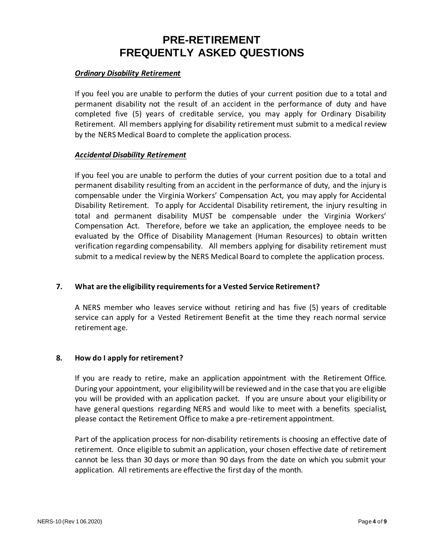#### *Ordinary Disability Retirement*

If you feel you are unable to perform the duties of your current position due to a total and permanent disability not the result of an accident in the performance of duty and have completed five (5) years of creditable service, you may apply for Ordinary Disability Retirement. All members applying for disability retirement must submit to a medical review by the NERS Medical Board to complete the application process.

#### *Accidental Disability Retirement*

If you feel you are unable to perform the duties of your current position due to a total and permanent disability resulting from an accident in the performance of duty, and the injury is compensable under the Virginia Workers' Compensation Act, you may apply for Accidental Disability Retirement. To apply for Accidental Disability retirement, the injury resulting in total and permanent disability MUST be compensable under the Virginia Workers' Compensation Act. Therefore, before we take an application, the employee needs to be evaluated by the Office of Disability Management (Human Resources) to obtain written verification regarding compensability. All members applying for disability retirement must submit to a medical review by the NERS Medical Board to complete the application process.

## **7. What are the eligibility requirements for a Vested Service Retirement?**

A NERS member who leaves service without retiring and has five (5) years of creditable service can apply for a Vested Retirement Benefit at the time they reach normal service retirement age.

## **8. How do I apply for retirement?**

If you are ready to retire, make an application appointment with the Retirement Office. During your appointment, your eligibility will be reviewed and in the case that you are eligible you will be provided with an application packet. If you are unsure about your eligibility or have general questions regarding NERS and would like to meet with a benefits specialist, please contact the Retirement Office to make a pre-retirement appointment.

Part of the application process for non-disability retirements is choosing an effective date of retirement. Once eligible to submit an application, your chosen effective date of retirement cannot be less than 30 days or more than 90 days from the date on which you submit your application. All retirements are effective the first day of the month.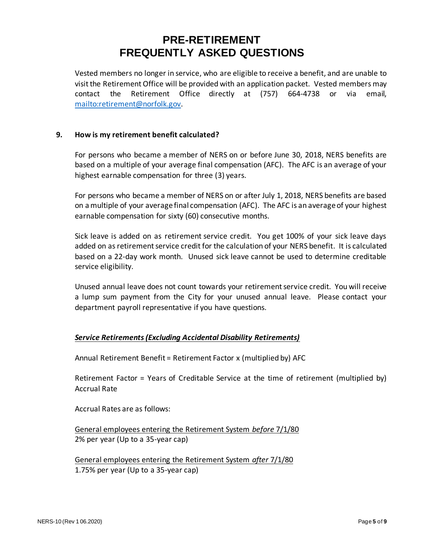Vested members no longer in service, who are eligible to receive a benefit, and are unable to visit the Retirement Office will be provided with an application packet. Vested members may contact the Retirement Office directly at (757) 664-4738 or via email, [mailto:retirement@norfolk.gov.](mailto:retirement@norfolk.gov)

## **9. How is my retirement benefit calculated?**

For persons who became a member of NERS on or before June 30, 2018, NERS benefits are based on a multiple of your average final compensation (AFC). The AFC is an average of your highest earnable compensation for three (3) years.

For persons who became a member of NERS on or after July 1, 2018, NERS benefits are based on a multiple of your average final compensation (AFC). The AFC is an average of your highest earnable compensation for sixty (60) consecutive months.

Sick leave is added on as retirement service credit. You get 100% of your sick leave days added on as retirement service credit for the calculation of your NERS benefit. It is calculated based on a 22-day work month. Unused sick leave cannot be used to determine creditable service eligibility.

Unused annual leave does not count towards your retirement service credit. You will receive a lump sum payment from the City for your unused annual leave. Please contact your department payroll representative if you have questions.

## *Service Retirements(Excluding Accidental Disability Retirements)*

Annual Retirement Benefit = Retirement Factor x (multiplied by) AFC

Retirement Factor = Years of Creditable Service at the time of retirement (multiplied by) Accrual Rate

Accrual Rates are as follows:

General employees entering the Retirement System *before* 7/1/80 2% per year (Up to a 35-year cap)

General employees entering the Retirement System *after* 7/1/80 1.75% per year (Up to a 35-year cap)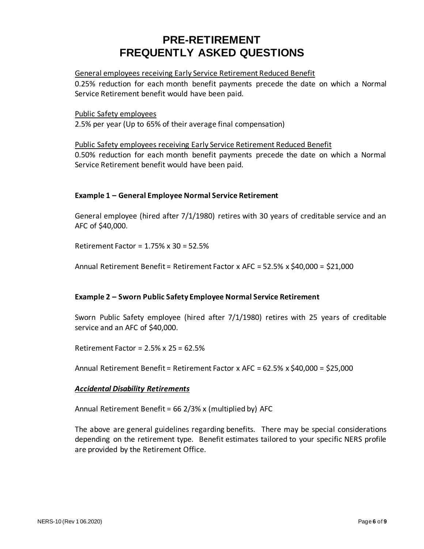#### General employees receiving Early Service Retirement Reduced Benefit

0.25% reduction for each month benefit payments precede the date on which a Normal Service Retirement benefit would have been paid.

# Public Safety employees

2.5% per year (Up to 65% of their average final compensation)

Public Safety employees receiving Early Service Retirement Reduced Benefit 0.50% reduction for each month benefit payments precede the date on which a Normal Service Retirement benefit would have been paid.

## **Example 1 – General Employee Normal Service Retirement**

General employee (hired after 7/1/1980) retires with 30 years of creditable service and an AFC of \$40,000.

Retirement Factor = 1.75% x 30 = 52.5%

Annual Retirement Benefit = Retirement Factor x AFC = 52.5% x \$40,000 = \$21,000

## **Example 2 – Sworn Public Safety Employee Normal Service Retirement**

Sworn Public Safety employee (hired after 7/1/1980) retires with 25 years of creditable service and an AFC of \$40,000.

Retirement Factor = 2.5% x 25 = 62.5%

Annual Retirement Benefit = Retirement Factor x AFC = 62.5% x \$40,000 = \$25,000

## *Accidental Disability Retirements*

Annual Retirement Benefit = 66 2/3% x (multiplied by) AFC

The above are general guidelines regarding benefits. There may be special considerations depending on the retirement type. Benefit estimates tailored to your specific NERS profile are provided by the Retirement Office.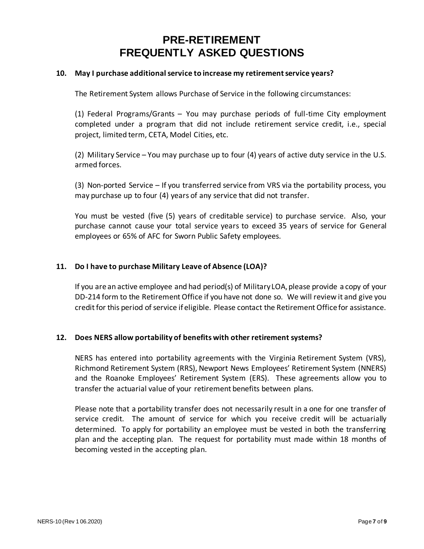#### **10. May I purchase additional service to increase my retirement service years?**

The Retirement System allows Purchase of Service in the following circumstances:

(1) Federal Programs/Grants – You may purchase periods of full-time City employment completed under a program that did not include retirement service credit, i.e., special project, limited term, CETA, Model Cities, etc.

(2) Military Service – You may purchase up to four (4) years of active duty service in the U.S. armed forces.

(3) Non-ported Service – If you transferred service from VRS via the portability process, you may purchase up to four (4) years of any service that did not transfer.

You must be vested (five (5) years of creditable service) to purchase service. Also, your purchase cannot cause your total service years to exceed 35 years of service for General employees or 65% of AFC for Sworn Public Safety employees.

## **11. Do I have to purchase Military Leave of Absence (LOA)?**

If you are an active employee and had period(s) of Military LOA, please provide a copy of your DD-214 form to the Retirement Office if you have not done so. We will review it and give you credit for this period of service if eligible. Please contact the Retirement Office for assistance.

#### **12. Does NERS allow portability of benefits with other retirement systems?**

NERS has entered into portability agreements with the Virginia Retirement System (VRS), Richmond Retirement System (RRS), Newport News Employees' Retirement System (NNERS) and the Roanoke Employees' Retirement System (ERS). These agreements allow you to transfer the actuarial value of your retirement benefits between plans.

Please note that a portability transfer does not necessarily result in a one for one transfer of service credit. The amount of service for which you receive credit will be actuarially determined. To apply for portability an employee must be vested in both the transferring plan and the accepting plan. The request for portability must made within 18 months of becoming vested in the accepting plan.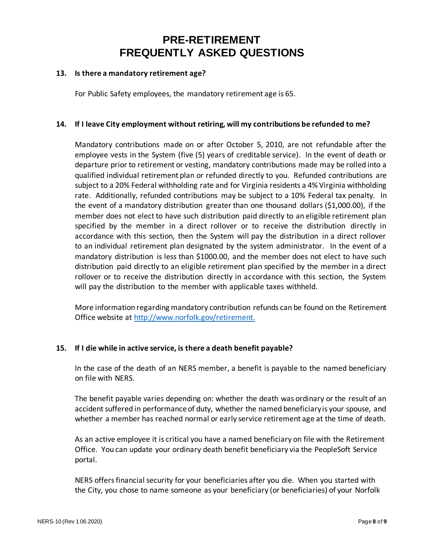#### **13. Is there a mandatory retirement age?**

For Public Safety employees, the mandatory retirement age is 65.

#### **14. If I leave City employment without retiring, will my contributions be refunded to me?**

Mandatory contributions made on or after October 5, 2010, are not refundable after the employee vests in the System (five (5) years of creditable service). In the event of death or departure prior to retirement or vesting, mandatory contributions made may be rolled into a qualified individual retirement plan or refunded directly to you. Refunded contributions are subject to a 20% Federal withholding rate and for Virginia residents a 4% Virginia withholding rate. Additionally, refunded contributions may be subject to a 10% Federal tax penalty. In the event of a mandatory distribution greater than one thousand dollars (\$1,000.00), if the member does not elect to have such distribution paid directly to an eligible retirement plan specified by the member in a direct rollover or to receive the distribution directly in accordance with this section, then the System will pay the distribution in a direct rollover to an individual retirement plan designated by the system administrator. In the event of a mandatory distribution is less than \$1000.00, and the member does not elect to have such distribution paid directly to an eligible retirement plan specified by the member in a direct rollover or to receive the distribution directly in accordance with this section, the System will pay the distribution to the member with applicable taxes withheld.

More information regarding mandatory contribution refunds can be found on the Retirement Office website at [http://www.norfolk.gov/retirement.](http://www.norfolk.gov/retirement)

## **15. If I die while in active service, is there a death benefit payable?**

In the case of the death of an NERS member, a benefit is payable to the named beneficiary on file with NERS.

The benefit payable varies depending on: whether the death was ordinary or the result of an accident suffered in performance of duty, whether the named beneficiary is your spouse, and whether a member has reached normal or early service retirement age at the time of death.

As an active employee it is critical you have a named beneficiary on file with the Retirement Office. You can update your ordinary death benefit beneficiary via the PeopleSoft Service portal.

NERS offers financial security for your beneficiaries after you die. When you started with the City, you chose to name someone as your beneficiary (or beneficiaries) of your Norfolk